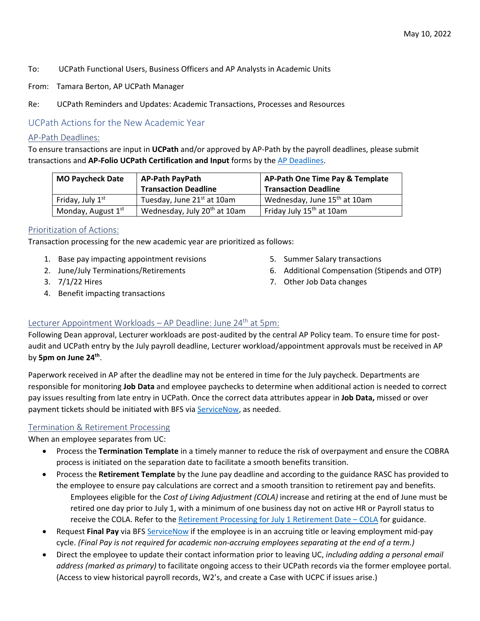- To: UCPath Functional Users, Business Officers and AP Analysts in Academic Units
- From: Tamara Berton, AP UCPath Manager
- Re: UCPath Reminders and Updates: Academic Transactions, Processes and Resources

# UCPath Actions for the New Academic Year

#### AP-Path Deadlines:

To ensure transactions are input in **UCPath** and/or approved by AP-Path by the payroll deadlines, please submit transactions and **AP-Folio UCPath Certification and Input** forms by the [AP Deadlines.](https://ap.ucsb.edu/resources.for.department.analysts/ucpath/deadlines.for.ucpath.academic.actions.pdf)

| <b>MO Paycheck Date</b>        | <b>AP-Path PayPath</b>                   | AP-Path One Time Pay & Template          |
|--------------------------------|------------------------------------------|------------------------------------------|
|                                | <b>Transaction Deadline</b>              | <b>Transaction Deadline</b>              |
| Friday, July 1 <sup>st</sup>   | Tuesday, June 21st at 10am               | Wednesday, June 15 <sup>th</sup> at 10am |
| Monday, August 1 <sup>st</sup> | Wednesday, July 20 <sup>th</sup> at 10am | Friday July 15 <sup>th</sup> at 10am     |

## Prioritization of Actions:

Transaction processing for the new academic year are prioritized as follows:

- 1. Base pay impacting appointment revisions
- 2. June/July Terminations/Retirements
- 3. 7/1/22 Hires
- 4. Benefit impacting transactions

6. Additional Compensation (Stipends and OTP)

5. Summer Salary transactions

7. Other Job Data changes

## Lecturer Appointment Workloads – AP Deadline: June 24<sup>th</sup> at 5pm:

Following Dean approval, Lecturer workloads are post-audited by the central AP Policy team. To ensure time for postaudit and UCPath entry by the July payroll deadline, Lecturer workload/appointment approvals must be received in AP by **5pm on June 24th**.

Paperwork received in AP after the deadline may not be entered in time for the July paycheck. Departments are responsible for monitoring **Job Data** and employee paychecks to determine when additional action is needed to correct pay issues resulting from late entry in UCPath. Once the correct data attributes appear in **Job Data,** missed or over payment tickets should be initiated with BFS via **ServiceNow**, as needed.

## Termination & Retirement Processing

When an employee separates from UC:

- Process the **Termination Template** in a timely manner to reduce the risk of overpayment and ensure the COBRA process is initiated on the separation date to facilitate a smooth benefits transition.
- Process the **Retirement Template** by the June pay deadline and according to the guidance RASC has provided to the employee to ensure pay calculations are correct and a smooth transition to retirement pay and benefits. Employees eligible for the *Cost of Living Adjustment (COLA)* increase and retiring at the end of June must be retired one day prior to July 1, with a minimum of one business day not on active HR or Payroll status to receive the COLA. Refer to th[e Retirement Processing for July 1 Retirement Date – COLA](https://sp.ucop.edu/sites/ucpathhelp/LocationUsers/LOCplayer/index.html?Guid=bfc6e835-7814-4050-8279-58f0ff705c00) for guidance.
- Request **Final Pay** via BFS [ServiceNow](https://ucsb.service-now.com/payroll) if the employee is in an accruing title or leaving employment mid-pay cycle. *(Final Pay is not required for academic non-accruing employees separating at the end of a term.)*
- Direct the employee to update their contact information prior to leaving UC, *including adding a personal email address (marked as primary)* to facilitate ongoing access to their UCPath records via the former employee portal. (Access to view historical payroll records, W2's, and create a Case with UCPC if issues arise.)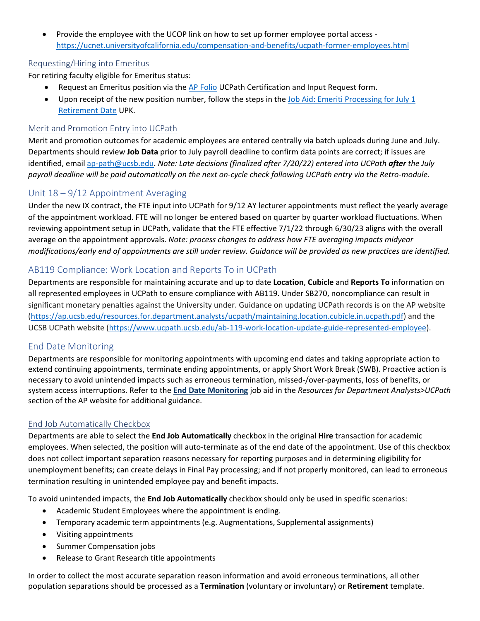• Provide the employee with the UCOP link on how to set up former employee portal access <https://ucnet.universityofcalifornia.edu/compensation-and-benefits/ucpath-former-employees.html>

## Requesting/Hiring into Emeritus

For retiring faculty eligible for Emeritus status:

- Request an Emeritus position via the [AP Folio](https://ap.ucsb.edu/) UCPath Certification and Input Request form.
- Upon receipt of the new position number, follow the steps in the [Job Aid: Emeriti Processing for July 1](https://sp.ucop.edu/sites/ucpathhelp/LocationUsers/LOCjobaids/UCPC_PHCMWFAL250JA_Emeritus_D2Rev00.pdf)  [Retirement Date](https://sp.ucop.edu/sites/ucpathhelp/LocationUsers/LOCjobaids/UCPC_PHCMWFAL250JA_Emeritus_D2Rev00.pdf) UPK.

#### Merit and Promotion Entry into UCPath

Merit and promotion outcomes for academic employees are entered centrally via batch uploads during June and July. Departments should review **Job Data** prior to July payroll deadline to confirm data points are correct; if issues are identified, email [ap-path@ucsb.edu.](mailto:ap-path@ucsb.edu) *Note: Late decisions (finalized after 7/20/22) entered into UCPath after the July payroll deadline will be paid automatically on the next on-cycle check following UCPath entry via the Retro-module.* 

## Unit 18 – 9/12 Appointment Averaging

Under the new IX contract, the FTE input into UCPath for 9/12 AY lecturer appointments must reflect the yearly average of the appointment workload. FTE will no longer be entered based on quarter by quarter workload fluctuations. When reviewing appointment setup in UCPath, validate that the FTE effective 7/1/22 through 6/30/23 aligns with the overall average on the appointment approvals. *Note: process changes to address how FTE averaging impacts midyear modifications/early end of appointments are still under review. Guidance will be provided as new practices are identified.*

## AB119 Compliance: Work Location and Reports To in UCPath

Departments are responsible for maintaining accurate and up to date **Location**, **Cubicle** and **Reports To** information on all represented employees in UCPath to ensure compliance with AB119. Under SB270, noncompliance can result in significant monetary penalties against the University under. Guidance on updating UCPath records is on the AP website [\(https://ap.ucsb.edu/resources.for.department.analysts/ucpath/maintaining.location.cubicle.in.ucpath.pdf\)](https://ap.ucsb.edu/resources.for.department.analysts/ucpath/maintaining.location.cubicle.in.ucpath.pdf) and the UCSB UCPath website [\(https://www.ucpath.ucsb.edu/ab-119-work-location-update-guide-represented-employee\)](https://www.ucpath.ucsb.edu/ab-119-work-location-update-guide-represented-employee).

## End Date Monitoring

Departments are responsible for monitoring appointments with upcoming end dates and taking appropriate action to extend continuing appointments, terminate ending appointments, or apply Short Work Break (SWB). Proactive action is necessary to avoid unintended impacts such as erroneous termination, missed-/over-payments, loss of benefits, or system access interruptions. Refer to the **[End Date Monitoring](https://ap.ucsb.edu/resources.for.department.analysts/ucpath/end.date.monitoring.pdf)** job aid in the *Resources for Department Analysts>UCPath* section of the AP website for additional guidance.

## End Job Automatically Checkbox

Departments are able to select the **End Job Automatically** checkbox in the original **Hire** transaction for academic employees. When selected, the position will auto-terminate as of the end date of the appointment. Use of this checkbox does not collect important separation reasons necessary for reporting purposes and in determining eligibility for unemployment benefits; can create delays in Final Pay processing; and if not properly monitored, can lead to erroneous termination resulting in unintended employee pay and benefit impacts.

To avoid unintended impacts, the **End Job Automatically** checkbox should only be used in specific scenarios:

- Academic Student Employees where the appointment is ending.
- Temporary academic term appointments (e.g. Augmentations, Supplemental assignments)
- Visiting appointments
- Summer Compensation jobs
- Release to Grant Research title appointments

In order to collect the most accurate separation reason information and avoid erroneous terminations, all other population separations should be processed as a **Termination** (voluntary or involuntary) or **Retirement** template.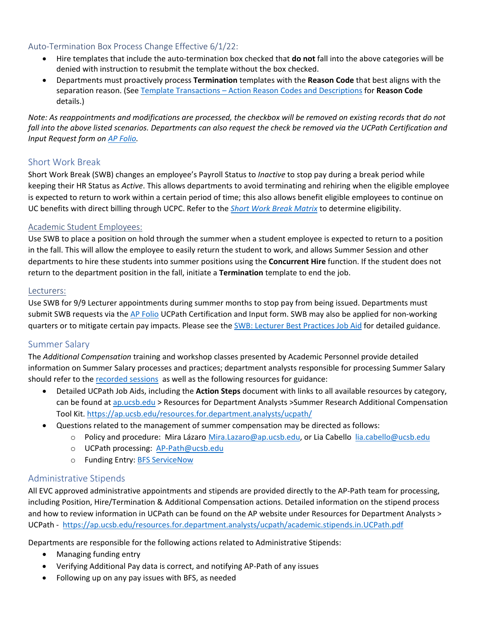#### Auto-Termination Box Process Change Effective 6/1/22:

- Hire templates that include the auto-termination box checked that **do not** fall into the above categories will be denied with instruction to resubmit the template without the box checked.
- Departments must proactively process **Termination** templates with the **Reason Code** that best aligns with the separation reason. (See [Template Transactions – Action Reason Codes and Descriptions](https://sp.ucop.edu/sites/ucpathhelp/LocationUsers/LOCplayer/index.html?Guid=8228d3f5-6859-4c86-a180-54428e7346b5) for **Reason Code** details.)

*Note: As reappointments and modifications are processed, the checkbox will be removed on existing records that do not fall into the above listed scenarios. Departments can also request the check be removed via the UCPath Certification and Input Request form on [AP Folio.](https://ap.ucsb.edu/)* 

## Short Work Break

Short Work Break (SWB) changes an employee's Payroll Status to *Inactive* to stop pay during a break period while keeping their HR Status as *Active*. This allows departments to avoid terminating and rehiring when the eligible employee is expected to return to work within a certain period of time; this also allows benefit eligible employees to continue on UC benefits with direct billing through UCPC. Refer to the *[Short Work Break Matrix](https://ap.ucsb.edu/resources.for.department.analysts/ucpath/short.work.break.matrix.pdf)* to determine eligibility.

#### Academic Student Employees:

Use SWB to place a position on hold through the summer when a student employee is expected to return to a position in the fall. This will allow the employee to easily return the student to work, and allows Summer Session and other departments to hire these students into summer positions using the **Concurrent Hire** function. If the student does not return to the department position in the fall, initiate a **Termination** template to end the job.

#### Lecturers:

Use SWB for 9/9 Lecturer appointments during summer months to stop pay from being issued. Departments must submit SWB requests via the [AP Folio](https://ap.ucsb.edu/) UCPath Certification and Input form. SWB may also be applied for non-working quarters or to mitigate certain pay impacts. Please see the [SWB: Lecturer Best Practices Job Aid](https://ap.ucsb.edu/resources.for.department.analysts/ucpath/short.work.break.lecturer.best.practices.pdf) for detailed guidance.

## Summer Salary

The *Additional Compensation* training and workshop classes presented by Academic Personnel provide detailed information on Summer Salary processes and practices; department analysts responsible for processing Summer Salary should refer to the [recorded sessions](https://ap.ucsb.edu/training.and.workshops/staff.training.materials/) as well as the following resources for guidance:

- Detailed UCPath Job Aids, including the **Action Steps** document with links to all available resources by category, can be found at [ap.ucsb.edu](https://ap.ucsb.edu/) > Resources for Department Analysts >Summer Research Additional Compensation Tool Kit.<https://ap.ucsb.edu/resources.for.department.analysts/ucpath/>
- Questions related to the management of summer compensation may be directed as follows:
	- o Policy and procedure: Mira Lázaro [Mira.Lazaro@ap.ucsb.edu,](mailto:Mira.Lazaro@ap.ucsb.edu) or Lia Cabello [lia.cabello@ucsb.edu](mailto:lia.cabello@ucsb.edu)
	- o UCPath processing: [AP-Path@ucsb.edu](mailto:AP-Path@ucsb.edu)
	- o Funding Entry: [BFS ServiceNow](https://ucsb.service-now.com/global)

## Administrative Stipends

All EVC approved administrative appointments and stipends are provided directly to the AP-Path team for processing, including Position, Hire/Termination & Additional Compensation actions. Detailed information on the stipend process and how to review information in UCPath can be found on the AP website under Resources for Department Analysts > UCPath - <https://ap.ucsb.edu/resources.for.department.analysts/ucpath/academic.stipends.in.UCPath.pdf>

Departments are responsible for the following actions related to Administrative Stipends:

- Managing funding entry
- Verifying Additional Pay data is correct, and notifying AP-Path of any issues
- Following up on any pay issues with BFS, as needed